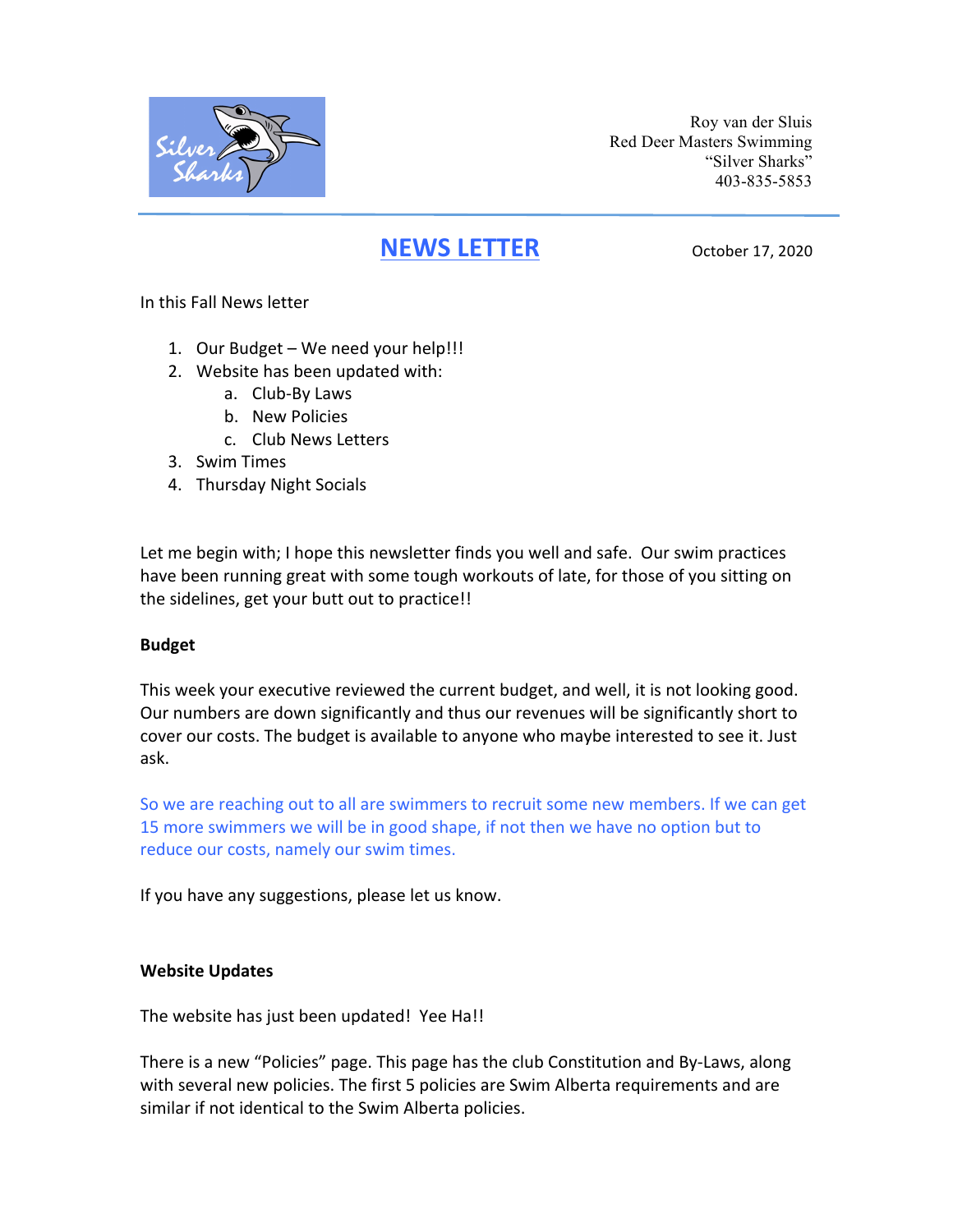

Roy van der Sluis Red Deer Masters Swimming "Silver Sharks" 403-835-5853

# **NEWS LETTER** October 17, 2020

In this Fall News letter

- 1. Our Budget We need your help!!!
- 2. Website has been updated with:
	- a. Club-By Laws
	- b. New Policies
	- c. Club News Letters
- 3. Swim Times
- 4. Thursday Night Socials

Let me begin with; I hope this newsletter finds you well and safe. Our swim practices have been running great with some tough workouts of late, for those of you sitting on the sidelines, get your butt out to practice!!

# **Budget**

This week your executive reviewed the current budget, and well, it is not looking good. Our numbers are down significantly and thus our revenues will be significantly short to cover our costs. The budget is available to anyone who maybe interested to see it. Just ask.

So we are reaching out to all are swimmers to recruit some new members. If we can get 15 more swimmers we will be in good shape, if not then we have no option but to reduce our costs, namely our swim times.

If you have any suggestions, please let us know.

# **Website Updates**

The website has just been updated! Yee Ha!!

There is a new "Policies" page. This page has the club Constitution and By-Laws, along with several new policies. The first 5 policies are Swim Alberta requirements and are similar if not identical to the Swim Alberta policies.